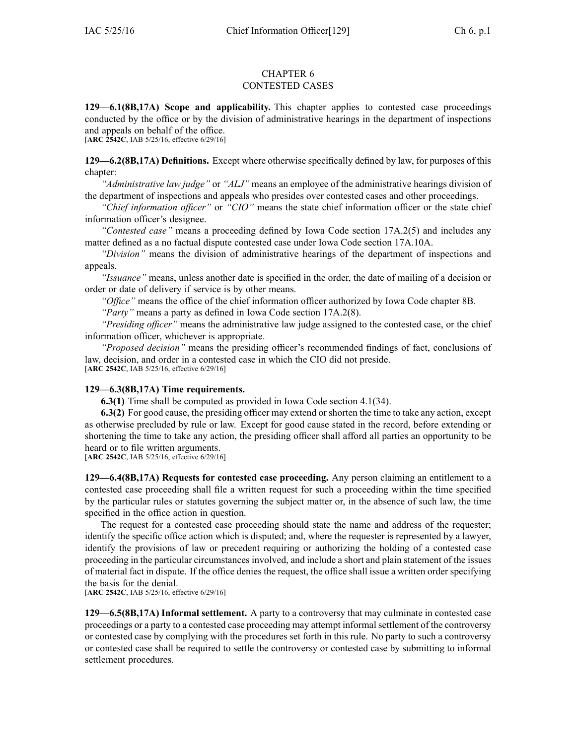### CHAPTER 6 CONTESTED CASES

**129—6.1(8B,17A) Scope and applicability.** This chapter applies to contested case proceedings conducted by the office or by the division of administrative hearings in the department of inspections and appeals on behalf of the office.

[**ARC 2542C**, IAB 5/25/16, effective 6/29/16]

**129—6.2(8B,17A) Definitions.** Except where otherwise specifically defined by law, for purposes of this chapter:

*"Administrative law judge"* or *"ALJ"* means an employee of the administrative hearings division of the department of inspections and appeals who presides over contested cases and other proceedings.

*"Chief information officer"* or *"CIO"* means the state chief information officer or the state chief information officer's designee.

*"Contested case"* means <sup>a</sup> proceeding defined by Iowa Code section [17A.2\(5\)](https://www.legis.iowa.gov/docs/ico/section/17A.2.pdf) and includes any matter defined as <sup>a</sup> no factual dispute contested case under Iowa Code section [17A.10A](https://www.legis.iowa.gov/docs/ico/section/17A.10A.pdf).

*"Division"* means the division of administrative hearings of the department of inspections and appeals.

*"Issuance"* means, unless another date is specified in the order, the date of mailing of <sup>a</sup> decision or order or date of delivery if service is by other means.

*"Office"* means the office of the chief information officer authorized by Iowa Code chapter [8B](https://www.legis.iowa.gov/docs/ico/chapter/8B.pdf).

*"Party"* means <sup>a</sup> party as defined in Iowa Code section [17A.2\(8\)](https://www.legis.iowa.gov/docs/ico/section/17A.2.pdf).

*"Presiding officer"* means the administrative law judge assigned to the contested case, or the chief information officer, whichever is appropriate.

*"Proposed decision"* means the presiding officer's recommended findings of fact, conclusions of law, decision, and order in <sup>a</sup> contested case in which the CIO did not preside. [**ARC 2542C**, IAB 5/25/16, effective 6/29/16]

## **129—6.3(8B,17A) Time requirements.**

**6.3(1)** Time shall be computed as provided in Iowa Code section [4.1\(34\)](https://www.legis.iowa.gov/docs/ico/section/4.1.pdf).

**6.3(2)** For good cause, the presiding officer may extend or shorten the time to take any action, excep<sup>t</sup> as otherwise precluded by rule or law. Except for good cause stated in the record, before extending or shortening the time to take any action, the presiding officer shall afford all parties an opportunity to be heard or to file written arguments.

[**ARC 2542C**, IAB 5/25/16, effective 6/29/16]

**129—6.4(8B,17A) Requests for contested case proceeding.** Any person claiming an entitlement to <sup>a</sup> contested case proceeding shall file <sup>a</sup> written reques<sup>t</sup> for such <sup>a</sup> proceeding within the time specified by the particular rules or statutes governing the subject matter or, in the absence of such law, the time specified in the office action in question.

The reques<sup>t</sup> for <sup>a</sup> contested case proceeding should state the name and address of the requester; identify the specific office action which is disputed; and, where the requester is represented by <sup>a</sup> lawyer, identify the provisions of law or precedent requiring or authorizing the holding of <sup>a</sup> contested case proceeding in the particular circumstances involved, and include <sup>a</sup> short and plain statement of the issues of material fact in dispute. If the office denies the request, the office shall issue <sup>a</sup> written order specifying the basis for the denial.

[**ARC 2542C**, IAB 5/25/16, effective 6/29/16]

**129—6.5(8B,17A) Informal settlement.** A party to <sup>a</sup> controversy that may culminate in contested case proceedings or a party to a contested case proceeding may attempt informal settlement of the controversy or contested case by complying with the procedures set forth in this rule. No party to such <sup>a</sup> controversy or contested case shall be required to settle the controversy or contested case by submitting to informal settlement procedures.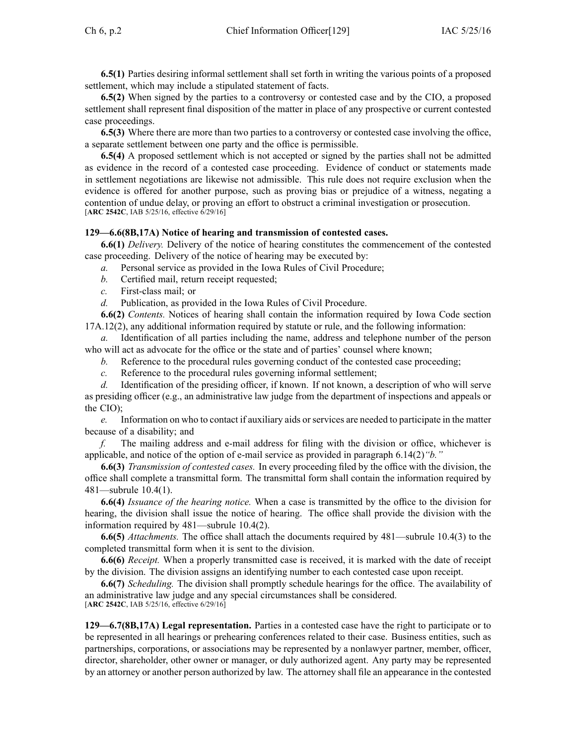**6.5(1)** Parties desiring informal settlement shall set forth in writing the various points of <sup>a</sup> proposed settlement, which may include <sup>a</sup> stipulated statement of facts.

**6.5(2)** When signed by the parties to <sup>a</sup> controversy or contested case and by the CIO, <sup>a</sup> proposed settlement shall represen<sup>t</sup> final disposition of the matter in place of any prospective or current contested case proceedings.

**6.5(3)** Where there are more than two parties to <sup>a</sup> controversy or contested case involving the office, <sup>a</sup> separate settlement between one party and the office is permissible.

**6.5(4)** A proposed settlement which is not accepted or signed by the parties shall not be admitted as evidence in the record of <sup>a</sup> contested case proceeding. Evidence of conduct or statements made in settlement negotiations are likewise not admissible. This rule does not require exclusion when the evidence is offered for another purpose, such as proving bias or prejudice of <sup>a</sup> witness, negating <sup>a</sup> contention of undue delay, or proving an effort to obstruct <sup>a</sup> criminal investigation or prosecution. [**ARC 2542C**, IAB 5/25/16, effective 6/29/16]

## **129—6.6(8B,17A) Notice of hearing and transmission of contested cases.**

**6.6(1)** *Delivery.* Delivery of the notice of hearing constitutes the commencement of the contested case proceeding. Delivery of the notice of hearing may be executed by:

*a.* Personal service as provided in the Iowa Rules of Civil Procedure;

- *b.* Certified mail, return receipt requested;
- *c.* First-class mail; or

*d.* Publication, as provided in the Iowa Rules of Civil Procedure.

**6.6(2)** *Contents.* Notices of hearing shall contain the information required by Iowa Code section [17A.12\(2\)](https://www.legis.iowa.gov/docs/ico/section/17A.12.pdf), any additional information required by statute or rule, and the following information:

*a.* Identification of all parties including the name, address and telephone number of the person who will act as advocate for the office or the state and of parties' counsel where known;

- *b.* Reference to the procedural rules governing conduct of the contested case proceeding;
- *c.* Reference to the procedural rules governing informal settlement;

*d.* Identification of the presiding officer, if known. If not known, <sup>a</sup> description of who will serve as presiding officer (e.g., an administrative law judge from the department of inspections and appeals or the CIO);

*e.* Information on who to contact if auxiliary aids or services are needed to participate in the matter because of <sup>a</sup> disability; and

*f.* The mailing address and e-mail address for filing with the division or office, whichever is applicable, and notice of the option of e-mail service as provided in paragraph 6.14(2)*"b."*

**6.6(3)** *Transmission of contested cases.* In every proceeding filed by the office with the division, the office shall complete <sup>a</sup> transmittal form. The transmittal form shall contain the information required by 481—subrule 10.4(1).

**6.6(4)** *Issuance of the hearing notice.* When <sup>a</sup> case is transmitted by the office to the division for hearing, the division shall issue the notice of hearing. The office shall provide the division with the information required by 481—subrule 10.4(2).

**6.6(5)** *Attachments.* The office shall attach the documents required by 481—subrule 10.4(3) to the completed transmittal form when it is sent to the division.

**6.6(6)** *Receipt.* When <sup>a</sup> properly transmitted case is received, it is marked with the date of receipt by the division. The division assigns an identifying number to each contested case upon receipt.

**6.6(7)** *Scheduling.* The division shall promptly schedule hearings for the office. The availability of an administrative law judge and any special circumstances shall be considered. [**ARC 2542C**, IAB 5/25/16, effective 6/29/16]

**129—6.7(8B,17A) Legal representation.** Parties in <sup>a</sup> contested case have the right to participate or to be represented in all hearings or prehearing conferences related to their case. Business entities, such as partnerships, corporations, or associations may be represented by <sup>a</sup> nonlawyer partner, member, officer, director, shareholder, other owner or manager, or duly authorized agent. Any party may be represented by an attorney or another person authorized by law. The attorney shall file an appearance in the contested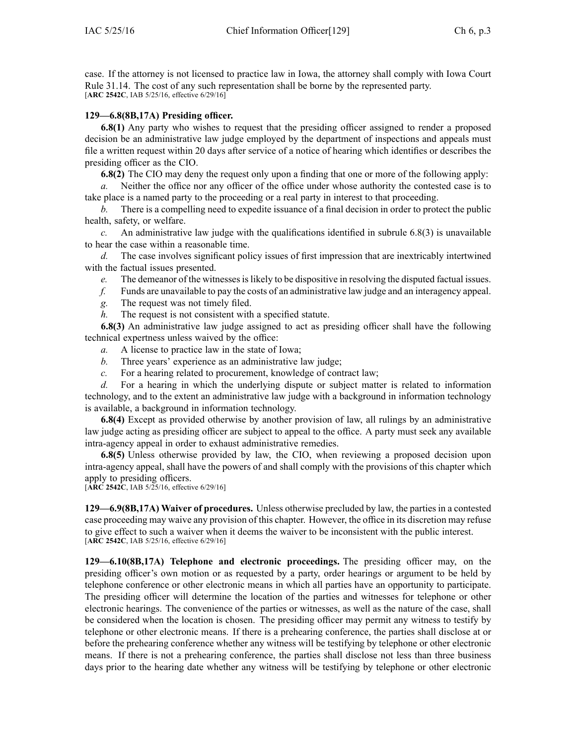case. If the attorney is not licensed to practice law in Iowa, the attorney shall comply with Iowa Court Rule [31.14](https://www.legis.iowa.gov/docs/ACO/CourtRulesChapter/31.pdf). The cost of any such representation shall be borne by the represented party. [**ARC 2542C**, IAB 5/25/16, effective 6/29/16]

# **129—6.8(8B,17A) Presiding officer.**

**6.8(1)** Any party who wishes to reques<sup>t</sup> that the presiding officer assigned to render <sup>a</sup> proposed decision be an administrative law judge employed by the department of inspections and appeals must file <sup>a</sup> written reques<sup>t</sup> within 20 days after service of <sup>a</sup> notice of hearing which identifies or describes the presiding officer as the CIO.

**6.8(2)** The CIO may deny the reques<sup>t</sup> only upon <sup>a</sup> finding that one or more of the following apply:

*a.* Neither the office nor any officer of the office under whose authority the contested case is to take place is <sup>a</sup> named party to the proceeding or <sup>a</sup> real party in interest to that proceeding.

*b.* There is <sup>a</sup> compelling need to expedite issuance of <sup>a</sup> final decision in order to protect the public health, safety, or welfare.

*c.* An administrative law judge with the qualifications identified in subrule 6.8(3) is unavailable to hear the case within <sup>a</sup> reasonable time.

*d.* The case involves significant policy issues of first impression that are inextricably intertwined with the factual issues presented.

*e.* The demeanor of the witnesses is likely to be dispositive in resolving the disputed factual issues.

- *f.* Funds are unavailable to pay the costs of an administrative law judge and an interagency appeal.
- *g.* The reques<sup>t</sup> was not timely filed.
- *h.* The reques<sup>t</sup> is not consistent with <sup>a</sup> specified statute.

**6.8(3)** An administrative law judge assigned to act as presiding officer shall have the following technical expertness unless waived by the office:

- *a.* A license to practice law in the state of Iowa;
- *b.* Three years' experience as an administrative law judge;
- *c.* For <sup>a</sup> hearing related to procurement, knowledge of contract law;

*d.* For <sup>a</sup> hearing in which the underlying dispute or subject matter is related to information technology, and to the extent an administrative law judge with <sup>a</sup> background in information technology is available, <sup>a</sup> background in information technology.

**6.8(4)** Except as provided otherwise by another provision of law, all rulings by an administrative law judge acting as presiding officer are subject to appeal to the office. A party must seek any available intra-agency appeal in order to exhaust administrative remedies.

**6.8(5)** Unless otherwise provided by law, the CIO, when reviewing <sup>a</sup> proposed decision upon intra-agency appeal, shall have the powers of and shall comply with the provisions of this chapter which apply to presiding officers.

[**ARC 2542C**, IAB 5/25/16, effective 6/29/16]

**129—6.9(8B,17A) Waiver of procedures.** Unless otherwise precluded by law, the parties in <sup>a</sup> contested case proceeding may waive any provision of this chapter. However, the office in its discretion may refuse to give effect to such <sup>a</sup> waiver when it deems the waiver to be inconsistent with the public interest. [**ARC 2542C**, IAB 5/25/16, effective 6/29/16]

**129—6.10(8B,17A) Telephone and electronic proceedings.** The presiding officer may, on the presiding officer's own motion or as requested by <sup>a</sup> party, order hearings or argumen<sup>t</sup> to be held by telephone conference or other electronic means in which all parties have an opportunity to participate. The presiding officer will determine the location of the parties and witnesses for telephone or other electronic hearings. The convenience of the parties or witnesses, as well as the nature of the case, shall be considered when the location is chosen. The presiding officer may permit any witness to testify by telephone or other electronic means. If there is <sup>a</sup> prehearing conference, the parties shall disclose at or before the prehearing conference whether any witness will be testifying by telephone or other electronic means. If there is not <sup>a</sup> prehearing conference, the parties shall disclose not less than three business days prior to the hearing date whether any witness will be testifying by telephone or other electronic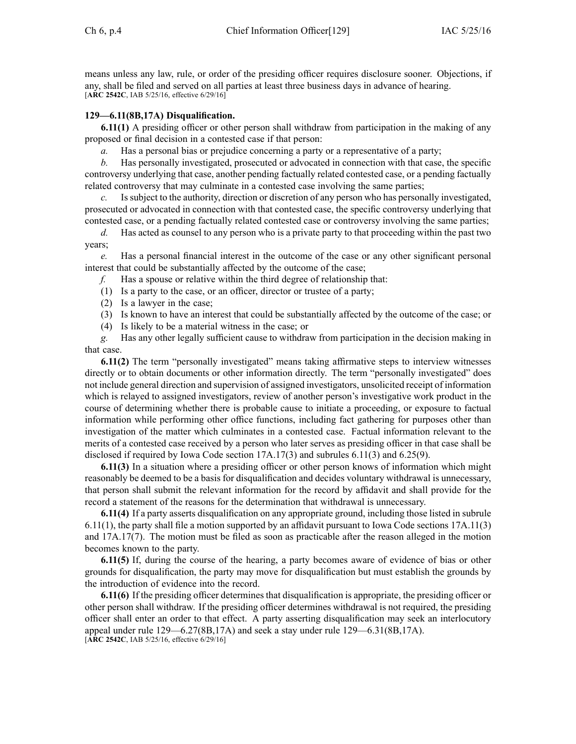means unless any law, rule, or order of the presiding officer requires disclosure sooner. Objections, if any, shall be filed and served on all parties at least three business days in advance of hearing. [**ARC 2542C**, IAB 5/25/16, effective 6/29/16]

# **129—6.11(8B,17A) Disqualification.**

**6.11(1)** A presiding officer or other person shall withdraw from participation in the making of any proposed or final decision in <sup>a</sup> contested case if that person:

*a.* Has a personal bias or prejudice concerning a party or a representative of a party;

*b.* Has personally investigated, prosecuted or advocated in connection with that case, the specific controversy underlying that case, another pending factually related contested case, or <sup>a</sup> pending factually related controversy that may culminate in <sup>a</sup> contested case involving the same parties;

*c.* Issubject to the authority, direction or discretion of any person who has personally investigated, prosecuted or advocated in connection with that contested case, the specific controversy underlying that contested case, or <sup>a</sup> pending factually related contested case or controversy involving the same parties;

*d.* Has acted as counsel to any person who is <sup>a</sup> private party to that proceeding within the pas<sup>t</sup> two years;

*e.* Has <sup>a</sup> personal financial interest in the outcome of the case or any other significant personal interest that could be substantially affected by the outcome of the case;

*f.* Has <sup>a</sup> spouse or relative within the third degree of relationship that:

(1) Is <sup>a</sup> party to the case, or an officer, director or trustee of <sup>a</sup> party;

- (2) Is <sup>a</sup> lawyer in the case;
- (3) Is known to have an interest that could be substantially affected by the outcome of the case; or
- (4) Is likely to be <sup>a</sup> material witness in the case; or

*g.* Has any other legally sufficient cause to withdraw from participation in the decision making in that case.

**6.11(2)** The term "personally investigated" means taking affirmative steps to interview witnesses directly or to obtain documents or other information directly. The term "personally investigated" does not include general direction and supervision of assigned investigators, unsolicited receipt of information which is relayed to assigned investigators, review of another person's investigative work product in the course of determining whether there is probable cause to initiate <sup>a</sup> proceeding, or exposure to factual information while performing other office functions, including fact gathering for purposes other than investigation of the matter which culminates in <sup>a</sup> contested case. Factual information relevant to the merits of <sup>a</sup> contested case received by <sup>a</sup> person who later serves as presiding officer in that case shall be disclosed if required by Iowa Code section [17A.17\(3\)](https://www.legis.iowa.gov/docs/ico/section/17A.17.pdf) and subrules 6.11(3) and 6.25(9).

**6.11(3)** In <sup>a</sup> situation where <sup>a</sup> presiding officer or other person knows of information which might reasonably be deemed to be <sup>a</sup> basis for disqualification and decides voluntary withdrawal is unnecessary, that person shall submit the relevant information for the record by affidavit and shall provide for the record <sup>a</sup> statement of the reasons for the determination that withdrawal is unnecessary.

**6.11(4)** If <sup>a</sup> party asserts disqualification on any appropriate ground, including those listed in subrule 6.11(1), the party shall file <sup>a</sup> motion supported by an affidavit pursuan<sup>t</sup> to Iowa Code sections [17A.11\(3\)](https://www.legis.iowa.gov/docs/ico/section/17A.11.pdf) and [17A.17\(7\)](https://www.legis.iowa.gov/docs/ico/section/17A.17.pdf). The motion must be filed as soon as practicable after the reason alleged in the motion becomes known to the party.

**6.11(5)** If, during the course of the hearing, <sup>a</sup> party becomes aware of evidence of bias or other grounds for disqualification, the party may move for disqualification but must establish the grounds by the introduction of evidence into the record.

**6.11(6)** If the presiding officer determines that disqualification is appropriate, the presiding officer or other person shall withdraw. If the presiding officer determines withdrawal is not required, the presiding officer shall enter an order to that effect. A party asserting disqualification may seek an interlocutory appeal under rule 129—6.27(8B,17A) and seek <sup>a</sup> stay under rule 129—6.31(8B,17A). [**ARC 2542C**, IAB 5/25/16, effective 6/29/16]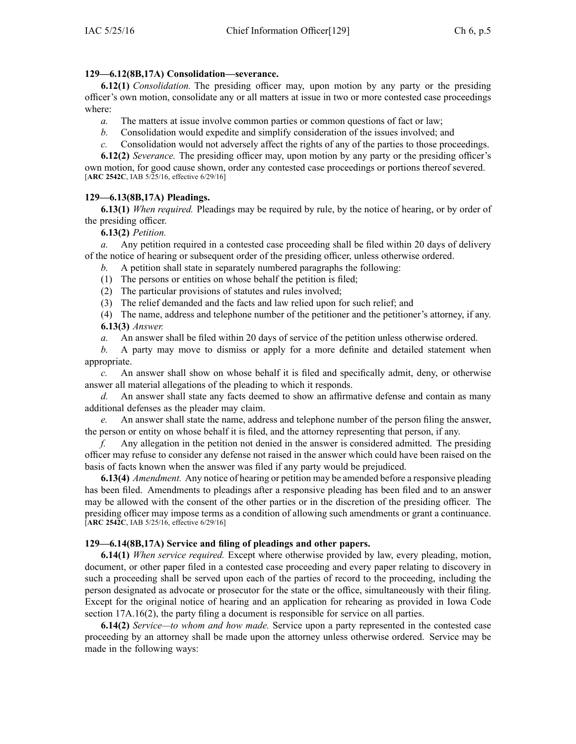# **129—6.12(8B,17A) Consolidation—severance.**

**6.12(1)** *Consolidation.* The presiding officer may, upon motion by any party or the presiding officer's own motion, consolidate any or all matters at issue in two or more contested case proceedings where:

- *a.* The matters at issue involve common parties or common questions of fact or law;
- *b.* Consolidation would expedite and simplify consideration of the issues involved; and
- *c.* Consolidation would not adversely affect the rights of any of the parties to those proceedings.

**6.12(2)** *Severance.* The presiding officer may, upon motion by any party or the presiding officer's own motion, for good cause shown, order any contested case proceedings or portions thereof severed. [**ARC 2542C**, IAB 5/25/16, effective 6/29/16]

# **129—6.13(8B,17A) Pleadings.**

**6.13(1)** *When required.* Pleadings may be required by rule, by the notice of hearing, or by order of the presiding officer.

**6.13(2)** *Petition.*

*a.* Any petition required in <sup>a</sup> contested case proceeding shall be filed within 20 days of delivery of the notice of hearing or subsequent order of the presiding officer, unless otherwise ordered.

- *b.* A petition shall state in separately numbered paragraphs the following:
- (1) The persons or entities on whose behalf the petition is filed;
- (2) The particular provisions of statutes and rules involved;
- (3) The relief demanded and the facts and law relied upon for such relief; and
- (4) The name, address and telephone number of the petitioner and the petitioner's attorney, if any. **6.13(3)** *Answer.*
- *a.* An answer shall be filed within 20 days of service of the petition unless otherwise ordered.
- *b.* A party may move to dismiss or apply for <sup>a</sup> more definite and detailed statement when appropriate.

*c.* An answer shall show on whose behalf it is filed and specifically admit, deny, or otherwise answer all material allegations of the pleading to which it responds.

*d.* An answer shall state any facts deemed to show an affirmative defense and contain as many additional defenses as the pleader may claim.

*e.* An answer shall state the name, address and telephone number of the person filing the answer, the person or entity on whose behalf it is filed, and the attorney representing that person, if any.

*f.* Any allegation in the petition not denied in the answer is considered admitted. The presiding officer may refuse to consider any defense not raised in the answer which could have been raised on the basis of facts known when the answer was filed if any party would be prejudiced.

**6.13(4)** *Amendment.* Any notice of hearing or petition may be amended before <sup>a</sup> responsive pleading has been filed. Amendments to pleadings after <sup>a</sup> responsive pleading has been filed and to an answer may be allowed with the consent of the other parties or in the discretion of the presiding officer. The presiding officer may impose terms as <sup>a</sup> condition of allowing such amendments or gran<sup>t</sup> <sup>a</sup> continuance. [**ARC 2542C**, IAB 5/25/16, effective 6/29/16]

## **129—6.14(8B,17A) Service and filing of pleadings and other papers.**

**6.14(1)** *When service required.* Except where otherwise provided by law, every pleading, motion, document, or other paper filed in <sup>a</sup> contested case proceeding and every paper relating to discovery in such <sup>a</sup> proceeding shall be served upon each of the parties of record to the proceeding, including the person designated as advocate or prosecutor for the state or the office, simultaneously with their filing. Except for the original notice of hearing and an application for rehearing as provided in Iowa Code section [17A.16\(2\)](https://www.legis.iowa.gov/docs/ico/section/17A.16.pdf), the party filing <sup>a</sup> document is responsible for service on all parties.

**6.14(2)** *Service—to whom and how made.* Service upon <sup>a</sup> party represented in the contested case proceeding by an attorney shall be made upon the attorney unless otherwise ordered. Service may be made in the following ways: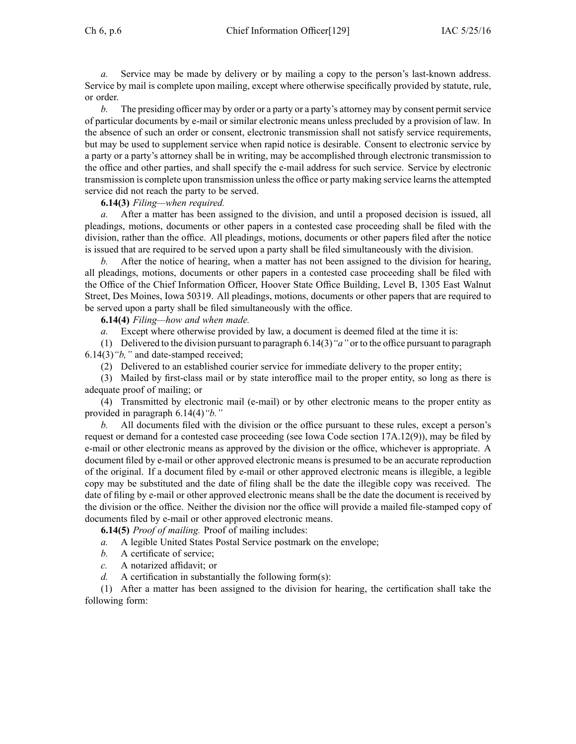Ch 6, p.6 Chief Information Officer[129] IAC 5/25/16

*a.* Service may be made by delivery or by mailing <sup>a</sup> copy to the person's last-known address. Service by mail is complete upon mailing, excep<sup>t</sup> where otherwise specifically provided by statute, rule, or order.

*b.* The presiding officer may by order or a party or a party's attorney may by consent permit service of particular documents by e-mail or similar electronic means unless precluded by <sup>a</sup> provision of law. In the absence of such an order or consent, electronic transmission shall not satisfy service requirements, but may be used to supplement service when rapid notice is desirable. Consent to electronic service by <sup>a</sup> party or <sup>a</sup> party's attorney shall be in writing, may be accomplished through electronic transmission to the office and other parties, and shall specify the e-mail address for such service. Service by electronic transmission is complete upon transmission unless the office or party making service learns the attempted service did not reach the party to be served.

**6.14(3)** *Filing—when required.*

*a.* After <sup>a</sup> matter has been assigned to the division, and until <sup>a</sup> proposed decision is issued, all pleadings, motions, documents or other papers in <sup>a</sup> contested case proceeding shall be filed with the division, rather than the office. All pleadings, motions, documents or other papers filed after the notice is issued that are required to be served upon <sup>a</sup> party shall be filed simultaneously with the division.

*b.* After the notice of hearing, when <sup>a</sup> matter has not been assigned to the division for hearing, all pleadings, motions, documents or other papers in <sup>a</sup> contested case proceeding shall be filed with the Office of the Chief Information Officer, Hoover State Office Building, Level B, 1305 East Walnut Street, Des Moines, Iowa 50319. All pleadings, motions, documents or other papers that are required to be served upon <sup>a</sup> party shall be filed simultaneously with the office.

**6.14(4)** *Filing—how and when made.*

*a.* Except where otherwise provided by law, <sup>a</sup> document is deemed filed at the time it is:

(1) Delivered to the division pursuan<sup>t</sup> to paragraph 6.14(3)*"a"* or to the office pursuan<sup>t</sup> to paragraph 6.14(3)*"b,"* and date-stamped received;

(2) Delivered to an established courier service for immediate delivery to the proper entity;

(3) Mailed by first-class mail or by state interoffice mail to the proper entity, so long as there is adequate proof of mailing; or

(4) Transmitted by electronic mail (e-mail) or by other electronic means to the proper entity as provided in paragraph 6.14(4)*"b."*

*b.* All documents filed with the division or the office pursuan<sup>t</sup> to these rules, excep<sup>t</sup> <sup>a</sup> person's reques<sup>t</sup> or demand for <sup>a</sup> contested case proceeding (see Iowa Code section [17A.12\(9\)](https://www.legis.iowa.gov/docs/ico/section/17A.12.pdf)), may be filed by e-mail or other electronic means as approved by the division or the office, whichever is appropriate. A document filed by e-mail or other approved electronic means is presumed to be an accurate reproduction of the original. If <sup>a</sup> document filed by e-mail or other approved electronic means is illegible, <sup>a</sup> legible copy may be substituted and the date of filing shall be the date the illegible copy was received. The date of filing by e-mail or other approved electronic means shall be the date the document is received by the division or the office. Neither the division nor the office will provide <sup>a</sup> mailed file-stamped copy of documents filed by e-mail or other approved electronic means.

**6.14(5)** *Proof of mailing.* Proof of mailing includes:

- *a.* A legible United States Postal Service postmark on the envelope;
- *b.* A certificate of service;
- *c.* A notarized affidavit; or
- *d.* A certification in substantially the following form(s):

(1) After <sup>a</sup> matter has been assigned to the division for hearing, the certification shall take the following form: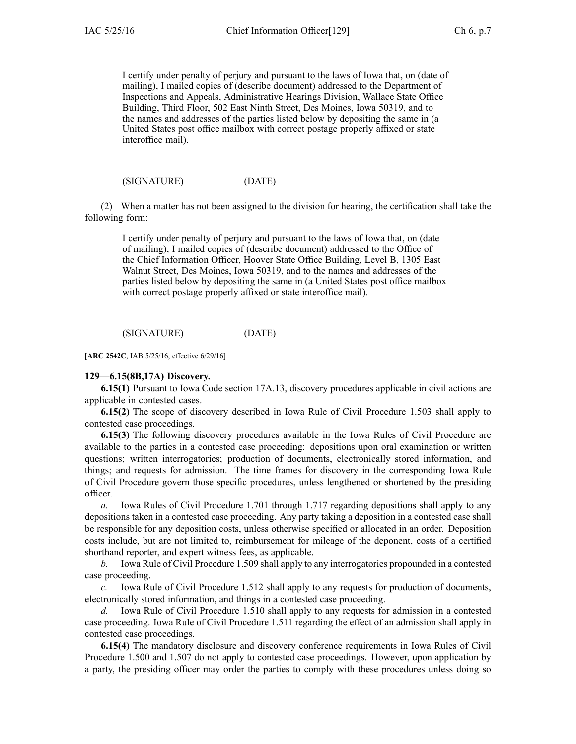I certify under penalty of perjury and pursuan<sup>t</sup> to the laws of Iowa that, on (date of mailing), I mailed copies of (describe document) addressed to the Department of Inspections and Appeals, Administrative Hearings Division, Wallace State Office Building, Third Floor, 502 East Ninth Street, Des Moines, Iowa 50319, and to the names and addresses of the parties listed below by depositing the same in (a United States pos<sup>t</sup> office mailbox with correct postage properly affixed or state interoffice mail).

(SIGNATURE) (DATE)

(2) When <sup>a</sup> matter has not been assigned to the division for hearing, the certification shall take the following form:

I certify under penalty of perjury and pursuan<sup>t</sup> to the laws of Iowa that, on (date of mailing), I mailed copies of (describe document) addressed to the Office of the Chief Information Officer, Hoover State Office Building, Level B, 1305 East Walnut Street, Des Moines, Iowa 50319, and to the names and addresses of the parties listed below by depositing the same in (a United States pos<sup>t</sup> office mailbox with correct postage properly affixed or state interoffice mail).

(SIGNATURE) (DATE)

[**ARC 2542C**, IAB 5/25/16, effective 6/29/16]

#### **129—6.15(8B,17A) Discovery.**

**6.15(1)** Pursuant to Iowa Code section [17A.13](https://www.legis.iowa.gov/docs/ico/section/17A.13.pdf), discovery procedures applicable in civil actions are applicable in contested cases.

**6.15(2)** The scope of discovery described in Iowa Rule of Civil Procedure [1.503](https://www.legis.iowa.gov/docs/ACO/CourtRulesChapter/1.pdf) shall apply to contested case proceedings.

**6.15(3)** The following discovery procedures available in the Iowa Rules of Civil Procedure are available to the parties in <sup>a</sup> contested case proceeding: depositions upon oral examination or written questions; written interrogatories; production of documents, electronically stored information, and things; and requests for admission. The time frames for discovery in the corresponding Iowa Rule of Civil Procedure govern those specific procedures, unless lengthened or shortened by the presiding officer.

*a.* Iowa Rules of Civil Procedure [1.701](https://www.legis.iowa.gov/docs/ACO/CourtRulesChapter/1.pdf) through [1.717](https://www.legis.iowa.gov/docs/ACO/CourtRulesChapter/1.pdf) regarding depositions shall apply to any depositions taken in <sup>a</sup> contested case proceeding. Any party taking <sup>a</sup> deposition in <sup>a</sup> contested case shall be responsible for any deposition costs, unless otherwise specified or allocated in an order. Deposition costs include, but are not limited to, reimbursement for mileage of the deponent, costs of <sup>a</sup> certified shorthand reporter, and exper<sup>t</sup> witness fees, as applicable.

*b.* Iowa Rule of Civil Procedure [1.509](https://www.legis.iowa.gov/docs/ACO/CourtRulesChapter/1.pdf) shall apply to any interrogatories propounded in <sup>a</sup> contested case proceeding.

*c.* Iowa Rule of Civil Procedure [1.512](https://www.legis.iowa.gov/docs/ACO/CourtRulesChapter/1.pdf) shall apply to any requests for production of documents, electronically stored information, and things in <sup>a</sup> contested case proceeding.

*d.* Iowa Rule of Civil Procedure [1.510](https://www.legis.iowa.gov/docs/ACO/CourtRulesChapter/1.pdf) shall apply to any requests for admission in <sup>a</sup> contested case proceeding. Iowa Rule of Civil Procedure [1.511](https://www.legis.iowa.gov/docs/ACO/CourtRulesChapter/1.pdf) regarding the effect of an admission shall apply in contested case proceedings.

**6.15(4)** The mandatory disclosure and discovery conference requirements in Iowa Rules of Civil Procedure [1.500](https://www.legis.iowa.gov/docs/ACO/CourtRulesChapter/1.pdf) and [1.507](https://www.legis.iowa.gov/docs/ACO/CourtRulesChapter/1.pdf) do not apply to contested case proceedings. However, upon application by <sup>a</sup> party, the presiding officer may order the parties to comply with these procedures unless doing so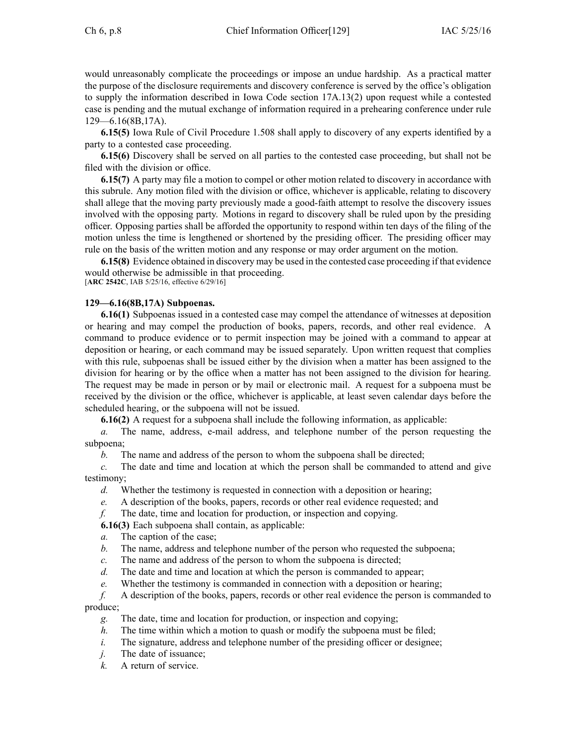would unreasonably complicate the proceedings or impose an undue hardship. As <sup>a</sup> practical matter the purpose of the disclosure requirements and discovery conference is served by the office's obligation to supply the information described in Iowa Code section [17A.13\(2\)](https://www.legis.iowa.gov/docs/ico/section/17A.13.pdf) upon reques<sup>t</sup> while <sup>a</sup> contested case is pending and the mutual exchange of information required in <sup>a</sup> prehearing conference under rule 129—6.16(8B,17A).

**6.15(5)** Iowa Rule of Civil Procedure [1.508](https://www.legis.iowa.gov/docs/ACO/CourtRulesChapter/1.pdf) shall apply to discovery of any experts identified by <sup>a</sup> party to <sup>a</sup> contested case proceeding.

**6.15(6)** Discovery shall be served on all parties to the contested case proceeding, but shall not be filed with the division or office.

**6.15(7)** A party may file <sup>a</sup> motion to compel or other motion related to discovery in accordance with this subrule. Any motion filed with the division or office, whichever is applicable, relating to discovery shall allege that the moving party previously made <sup>a</sup> good-faith attempt to resolve the discovery issues involved with the opposing party. Motions in regard to discovery shall be ruled upon by the presiding officer. Opposing parties shall be afforded the opportunity to respond within ten days of the filing of the motion unless the time is lengthened or shortened by the presiding officer. The presiding officer may rule on the basis of the written motion and any response or may order argumen<sup>t</sup> on the motion.

**6.15(8)** Evidence obtained in discovery may be used in the contested case proceeding if that evidence would otherwise be admissible in that proceeding. [**ARC 2542C**, IAB 5/25/16, effective 6/29/16]

# **129—6.16(8B,17A) Subpoenas.**

**6.16(1)** Subpoenas issued in <sup>a</sup> contested case may compel the attendance of witnesses at deposition or hearing and may compel the production of books, papers, records, and other real evidence. A command to produce evidence or to permit inspection may be joined with <sup>a</sup> command to appear at deposition or hearing, or each command may be issued separately. Upon written reques<sup>t</sup> that complies with this rule, subpoenas shall be issued either by the division when <sup>a</sup> matter has been assigned to the division for hearing or by the office when <sup>a</sup> matter has not been assigned to the division for hearing. The reques<sup>t</sup> may be made in person or by mail or electronic mail. A reques<sup>t</sup> for <sup>a</sup> subpoena must be received by the division or the office, whichever is applicable, at least seven calendar days before the scheduled hearing, or the subpoena will not be issued.

**6.16(2)** A reques<sup>t</sup> for <sup>a</sup> subpoena shall include the following information, as applicable:

*a.* The name, address, e-mail address, and telephone number of the person requesting the subpoena;

*b.* The name and address of the person to whom the subpoena shall be directed;

*c.* The date and time and location at which the person shall be commanded to attend and give testimony;

*d.* Whether the testimony is requested in connection with <sup>a</sup> deposition or hearing;

*e.* A description of the books, papers, records or other real evidence requested; and

*f.* The date, time and location for production, or inspection and copying.

**6.16(3)** Each subpoena shall contain, as applicable:

*a.* The caption of the case;

*b.* The name, address and telephone number of the person who requested the subpoena;

- *c.* The name and address of the person to whom the subpoena is directed;
- *d.* The date and time and location at which the person is commanded to appear;
- *e.* Whether the testimony is commanded in connection with <sup>a</sup> deposition or hearing;

*f.* A description of the books, papers, records or other real evidence the person is commanded to produce;

- *g.* The date, time and location for production, or inspection and copying;
- *h.* The time within which a motion to quash or modify the subpoena must be filed;
- *i.* The signature, address and telephone number of the presiding officer or designee;
- *j.* The date of issuance;
- *k.* A return of service.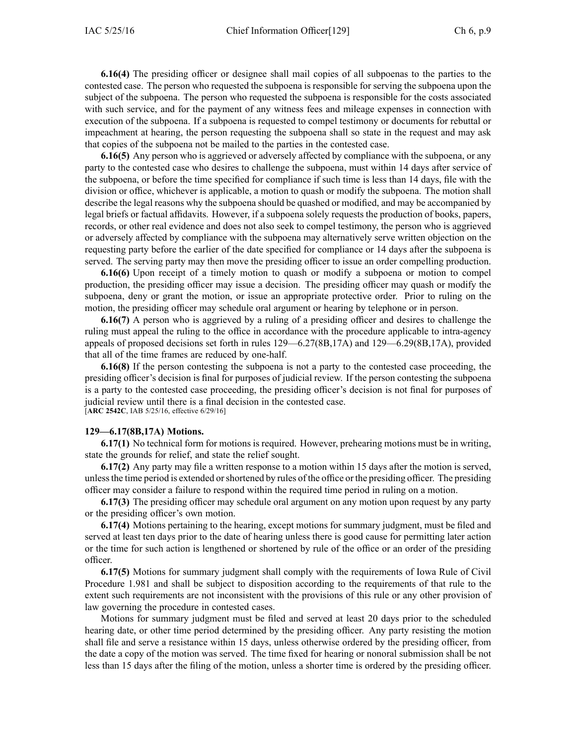**6.16(4)** The presiding officer or designee shall mail copies of all subpoenas to the parties to the contested case. The person who requested the subpoena is responsible for serving the subpoena upon the subject of the subpoena. The person who requested the subpoena is responsible for the costs associated with such service, and for the paymen<sup>t</sup> of any witness fees and mileage expenses in connection with execution of the subpoena. If <sup>a</sup> subpoena is requested to compel testimony or documents for rebuttal or impeachment at hearing, the person requesting the subpoena shall so state in the reques<sup>t</sup> and may ask that copies of the subpoena not be mailed to the parties in the contested case.

**6.16(5)** Any person who is aggrieved or adversely affected by compliance with the subpoena, or any party to the contested case who desires to challenge the subpoena, must within 14 days after service of the subpoena, or before the time specified for compliance if such time is less than 14 days, file with the division or office, whichever is applicable, <sup>a</sup> motion to quash or modify the subpoena. The motion shall describe the legal reasons why the subpoena should be quashed or modified, and may be accompanied by legal briefs or factual affidavits. However, if <sup>a</sup> subpoena solely requests the production of books, papers, records, or other real evidence and does not also seek to compel testimony, the person who is aggrieved or adversely affected by compliance with the subpoena may alternatively serve written objection on the requesting party before the earlier of the date specified for compliance or 14 days after the subpoena is served. The serving party may then move the presiding officer to issue an order compelling production.

**6.16(6)** Upon receipt of <sup>a</sup> timely motion to quash or modify <sup>a</sup> subpoena or motion to compel production, the presiding officer may issue <sup>a</sup> decision. The presiding officer may quash or modify the subpoena, deny or gran<sup>t</sup> the motion, or issue an appropriate protective order. Prior to ruling on the motion, the presiding officer may schedule oral argumen<sup>t</sup> or hearing by telephone or in person.

**6.16(7)** A person who is aggrieved by <sup>a</sup> ruling of <sup>a</sup> presiding officer and desires to challenge the ruling must appeal the ruling to the office in accordance with the procedure applicable to intra-agency appeals of proposed decisions set forth in rules 129—6.27(8B,17A) and 129—6.29(8B,17A), provided that all of the time frames are reduced by one-half.

**6.16(8)** If the person contesting the subpoena is not <sup>a</sup> party to the contested case proceeding, the presiding officer's decision is final for purposes of judicial review. If the person contesting the subpoena is <sup>a</sup> party to the contested case proceeding, the presiding officer's decision is not final for purposes of judicial review until there is <sup>a</sup> final decision in the contested case. [**ARC 2542C**, IAB 5/25/16, effective 6/29/16]

#### **129—6.17(8B,17A) Motions.**

**6.17(1)** No technical form for motions is required. However, prehearing motions must be in writing, state the grounds for relief, and state the relief sought.

**6.17(2)** Any party may file <sup>a</sup> written response to <sup>a</sup> motion within 15 days after the motion is served, unlessthe time period is extended orshortened by rules of the office or the presiding officer. The presiding officer may consider <sup>a</sup> failure to respond within the required time period in ruling on <sup>a</sup> motion.

**6.17(3)** The presiding officer may schedule oral argumen<sup>t</sup> on any motion upon reques<sup>t</sup> by any party or the presiding officer's own motion.

**6.17(4)** Motions pertaining to the hearing, excep<sup>t</sup> motions for summary judgment, must be filed and served at least ten days prior to the date of hearing unless there is good cause for permitting later action or the time for such action is lengthened or shortened by rule of the office or an order of the presiding officer.

**6.17(5)** Motions for summary judgment shall comply with the requirements of Iowa Rule of Civil Procedure 1.981 and shall be subject to disposition according to the requirements of that rule to the extent such requirements are not inconsistent with the provisions of this rule or any other provision of law governing the procedure in contested cases.

Motions for summary judgment must be filed and served at least 20 days prior to the scheduled hearing date, or other time period determined by the presiding officer. Any party resisting the motion shall file and serve <sup>a</sup> resistance within 15 days, unless otherwise ordered by the presiding officer, from the date <sup>a</sup> copy of the motion was served. The time fixed for hearing or nonoral submission shall be not less than 15 days after the filing of the motion, unless <sup>a</sup> shorter time is ordered by the presiding officer.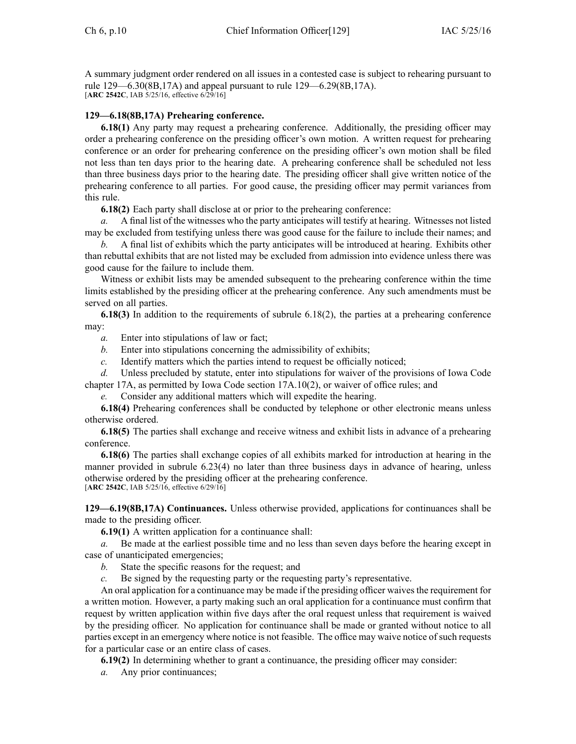A summary judgment order rendered on all issues in <sup>a</sup> contested case is subject to rehearing pursuan<sup>t</sup> to rule 129—6.30(8B,17A) and appeal pursuan<sup>t</sup> to rule 129—6.29(8B,17A). [**ARC 2542C**, IAB 5/25/16, effective 6/29/16]

# **129—6.18(8B,17A) Prehearing conference.**

**6.18(1)** Any party may reques<sup>t</sup> <sup>a</sup> prehearing conference. Additionally, the presiding officer may order <sup>a</sup> prehearing conference on the presiding officer's own motion. A written reques<sup>t</sup> for prehearing conference or an order for prehearing conference on the presiding officer's own motion shall be filed not less than ten days prior to the hearing date. A prehearing conference shall be scheduled not less than three business days prior to the hearing date. The presiding officer shall give written notice of the prehearing conference to all parties. For good cause, the presiding officer may permit variances from this rule.

**6.18(2)** Each party shall disclose at or prior to the prehearing conference:

*a.* A final list of the witnesses who the party anticipates will testify at hearing. Witnesses not listed may be excluded from testifying unless there was good cause for the failure to include their names; and

*b.* A final list of exhibits which the party anticipates will be introduced at hearing. Exhibits other than rebuttal exhibits that are not listed may be excluded from admission into evidence unless there was good cause for the failure to include them.

Witness or exhibit lists may be amended subsequent to the prehearing conference within the time limits established by the presiding officer at the prehearing conference. Any such amendments must be served on all parties.

**6.18(3)** In addition to the requirements of subrule 6.18(2), the parties at <sup>a</sup> prehearing conference may:

*a.* Enter into stipulations of law or fact;

- *b.* Enter into stipulations concerning the admissibility of exhibits;
- *c.* Identify matters which the parties intend to reques<sup>t</sup> be officially noticed;

*d.* Unless precluded by statute, enter into stipulations for waiver of the provisions of Iowa Code chapter [17A](https://www.legis.iowa.gov/docs/ico/chapter/17A.pdf), as permitted by Iowa Code section [17A.10\(2\)](https://www.legis.iowa.gov/docs/ico/section/17A.10.pdf), or waiver of office rules; and

*e.* Consider any additional matters which will expedite the hearing.

**6.18(4)** Prehearing conferences shall be conducted by telephone or other electronic means unless otherwise ordered.

**6.18(5)** The parties shall exchange and receive witness and exhibit lists in advance of <sup>a</sup> prehearing conference.

**6.18(6)** The parties shall exchange copies of all exhibits marked for introduction at hearing in the manner provided in subrule 6.23(4) no later than three business days in advance of hearing, unless otherwise ordered by the presiding officer at the prehearing conference. [**ARC 2542C**, IAB 5/25/16, effective 6/29/16]

**129—6.19(8B,17A) Continuances.** Unless otherwise provided, applications for continuances shall be made to the presiding officer.

**6.19(1)** A written application for <sup>a</sup> continuance shall:

*a.* Be made at the earliest possible time and no less than seven days before the hearing excep<sup>t</sup> in case of unanticipated emergencies;

- *b.* State the specific reasons for the request; and
- *c.* Be signed by the requesting party or the requesting party's representative.

An oral application for a continuance may be made if the presiding officer waives the requirement for <sup>a</sup> written motion. However, <sup>a</sup> party making such an oral application for <sup>a</sup> continuance must confirm that reques<sup>t</sup> by written application within five days after the oral reques<sup>t</sup> unless that requirement is waived by the presiding officer. No application for continuance shall be made or granted without notice to all parties except in an emergency where notice is not feasible. The office may waive notice of such requests for <sup>a</sup> particular case or an entire class of cases.

**6.19(2)** In determining whether to gran<sup>t</sup> <sup>a</sup> continuance, the presiding officer may consider:

*a.* Any prior continuances;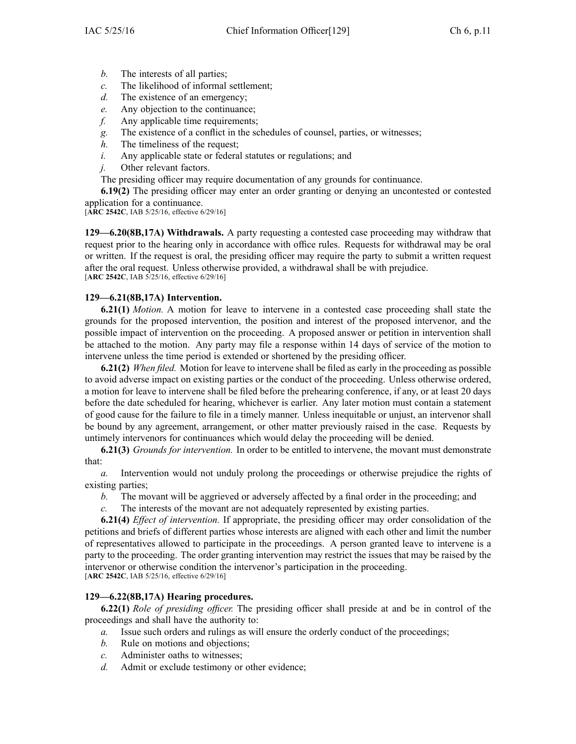- *b.* The interests of all parties;
- *c.* The likelihood of informal settlement;
- *d.* The existence of an emergency;
- *e.* Any objection to the continuance;
- *f.* Any applicable time requirements;
- *g.* The existence of <sup>a</sup> conflict in the schedules of counsel, parties, or witnesses;
- *h.* The timeliness of the request;
- *i.* Any applicable state or federal statutes or regulations; and
- *j.* Other relevant factors.

The presiding officer may require documentation of any grounds for continuance.

**6.19(2)** The presiding officer may enter an order granting or denying an uncontested or contested application for <sup>a</sup> continuance.

[**ARC 2542C**, IAB 5/25/16, effective 6/29/16]

**129—6.20(8B,17A) Withdrawals.** A party requesting <sup>a</sup> contested case proceeding may withdraw that reques<sup>t</sup> prior to the hearing only in accordance with office rules. Requests for withdrawal may be oral or written. If the reques<sup>t</sup> is oral, the presiding officer may require the party to submit <sup>a</sup> written reques<sup>t</sup> after the oral request. Unless otherwise provided, <sup>a</sup> withdrawal shall be with prejudice. [**ARC 2542C**, IAB 5/25/16, effective 6/29/16]

# **129—6.21(8B,17A) Intervention.**

**6.21(1)** *Motion.* A motion for leave to intervene in <sup>a</sup> contested case proceeding shall state the grounds for the proposed intervention, the position and interest of the proposed intervenor, and the possible impact of intervention on the proceeding. A proposed answer or petition in intervention shall be attached to the motion. Any party may file <sup>a</sup> response within 14 days of service of the motion to intervene unless the time period is extended or shortened by the presiding officer.

**6.21(2)** *When filed.* Motion for leave to intervene shall be filed as early in the proceeding as possible to avoid adverse impact on existing parties or the conduct of the proceeding. Unless otherwise ordered, <sup>a</sup> motion for leave to intervene shall be filed before the prehearing conference, if any, or at least 20 days before the date scheduled for hearing, whichever is earlier. Any later motion must contain <sup>a</sup> statement of good cause for the failure to file in <sup>a</sup> timely manner. Unless inequitable or unjust, an intervenor shall be bound by any agreement, arrangement, or other matter previously raised in the case. Requests by untimely intervenors for continuances which would delay the proceeding will be denied.

**6.21(3)** *Grounds for intervention.* In order to be entitled to intervene, the movant must demonstrate that:

*a.* Intervention would not unduly prolong the proceedings or otherwise prejudice the rights of existing parties;

- *b.* The movant will be aggrieved or adversely affected by <sup>a</sup> final order in the proceeding; and
- *c.* The interests of the movant are not adequately represented by existing parties.

**6.21(4)** *Effect of intervention.* If appropriate, the presiding officer may order consolidation of the petitions and briefs of different parties whose interests are aligned with each other and limit the number of representatives allowed to participate in the proceedings. A person granted leave to intervene is <sup>a</sup> party to the proceeding. The order granting intervention may restrict the issues that may be raised by the intervenor or otherwise condition the intervenor's participation in the proceeding. [**ARC 2542C**, IAB 5/25/16, effective 6/29/16]

# **129—6.22(8B,17A) Hearing procedures.**

**6.22(1)** *Role of presiding officer.* The presiding officer shall preside at and be in control of the proceedings and shall have the authority to:

- *a.* Issue such orders and rulings as will ensure the orderly conduct of the proceedings;
- *b.* Rule on motions and objections;
- *c.* Administer oaths to witnesses;
- *d.* Admit or exclude testimony or other evidence;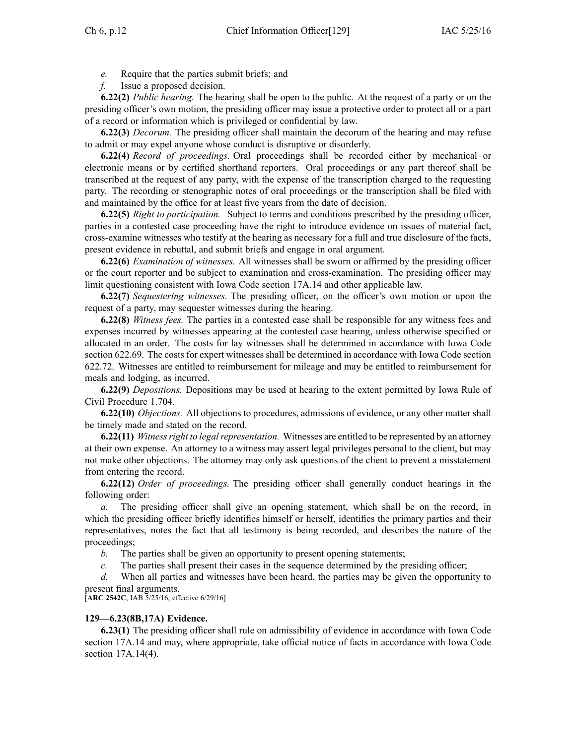*e.* Require that the parties submit briefs; and

*f.* Issue <sup>a</sup> proposed decision.

**6.22(2)** *Public hearing.* The hearing shall be open to the public. At the reques<sup>t</sup> of <sup>a</sup> party or on the presiding officer's own motion, the presiding officer may issue <sup>a</sup> protective order to protect all or <sup>a</sup> par<sup>t</sup> of <sup>a</sup> record or information which is privileged or confidential by law.

**6.22(3)** *Decorum.* The presiding officer shall maintain the decorum of the hearing and may refuse to admit or may expel anyone whose conduct is disruptive or disorderly.

**6.22(4)** *Record of proceedings.* Oral proceedings shall be recorded either by mechanical or electronic means or by certified shorthand reporters. Oral proceedings or any par<sup>t</sup> thereof shall be transcribed at the reques<sup>t</sup> of any party, with the expense of the transcription charged to the requesting party. The recording or stenographic notes of oral proceedings or the transcription shall be filed with and maintained by the office for at least five years from the date of decision.

**6.22(5)** *Right to participation.* Subject to terms and conditions prescribed by the presiding officer, parties in <sup>a</sup> contested case proceeding have the right to introduce evidence on issues of material fact, cross-examine witnesses who testify at the hearing as necessary for <sup>a</sup> full and true disclosure of the facts, presen<sup>t</sup> evidence in rebuttal, and submit briefs and engage in oral argument.

**6.22(6)** *Examination of witnesses.* All witnesses shall be sworn or affirmed by the presiding officer or the court reporter and be subject to examination and cross-examination. The presiding officer may limit questioning consistent with Iowa Code section [17A.14](https://www.legis.iowa.gov/docs/ico/section/17A.14.pdf) and other applicable law.

**6.22(7)** *Sequestering witnesses.* The presiding officer, on the officer's own motion or upon the reques<sup>t</sup> of <sup>a</sup> party, may sequester witnesses during the hearing.

**6.22(8)** *Witness fees.* The parties in <sup>a</sup> contested case shall be responsible for any witness fees and expenses incurred by witnesses appearing at the contested case hearing, unless otherwise specified or allocated in an order. The costs for lay witnesses shall be determined in accordance with Iowa Code section [622.69](https://www.legis.iowa.gov/docs/ico/section/622.69.pdf). The costs for exper<sup>t</sup> witnesses shall be determined in accordance with Iowa Code section [622.72](https://www.legis.iowa.gov/docs/ico/section/622.72.pdf). Witnesses are entitled to reimbursement for mileage and may be entitled to reimbursement for meals and lodging, as incurred.

**6.22(9)** *Depositions.* Depositions may be used at hearing to the extent permitted by Iowa Rule of Civil Procedure [1.704](https://www.legis.iowa.gov/docs/ACO/CourtRulesChapter/1.pdf).

**6.22(10)** *Objections.* All objections to procedures, admissions of evidence, or any other matter shall be timely made and stated on the record.

**6.22(11)** *Witnessright to legalrepresentation.* Witnesses are entitled to be represented by an attorney at their own expense. An attorney to <sup>a</sup> witness may assert legal privileges personal to the client, but may not make other objections. The attorney may only ask questions of the client to preven<sup>t</sup> <sup>a</sup> misstatement from entering the record.

**6.22(12)** *Order of proceedings.* The presiding officer shall generally conduct hearings in the following order:

*a.* The presiding officer shall give an opening statement, which shall be on the record, in which the presiding officer briefly identifies himself or herself, identifies the primary parties and their representatives, notes the fact that all testimony is being recorded, and describes the nature of the proceedings;

*b.* The parties shall be given an opportunity to presen<sup>t</sup> opening statements;

*c.* The parties shall presen<sup>t</sup> their cases in the sequence determined by the presiding officer;

*d.* When all parties and witnesses have been heard, the parties may be given the opportunity to presen<sup>t</sup> final arguments.

[**ARC 2542C**, IAB 5/25/16, effective 6/29/16]

#### **129—6.23(8B,17A) Evidence.**

**6.23(1)** The presiding officer shall rule on admissibility of evidence in accordance with Iowa Code section [17A.14](https://www.legis.iowa.gov/docs/ico/section/17A.14.pdf) and may, where appropriate, take official notice of facts in accordance with Iowa [Code](https://www.legis.iowa.gov/docs/ico/section/17A.14.pdf) section [17A.14\(4\)](https://www.legis.iowa.gov/docs/ico/section/17A.14.pdf).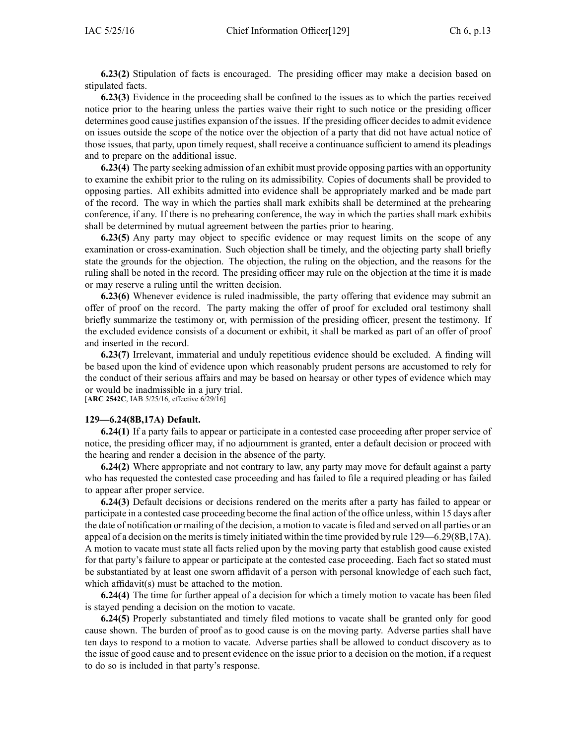**6.23(2)** Stipulation of facts is encouraged. The presiding officer may make <sup>a</sup> decision based on stipulated facts.

**6.23(3)** Evidence in the proceeding shall be confined to the issues as to which the parties received notice prior to the hearing unless the parties waive their right to such notice or the presiding officer determines good cause justifies expansion of the issues. If the presiding officer decidesto admit evidence on issues outside the scope of the notice over the objection of <sup>a</sup> party that did not have actual notice of those issues, that party, upon timely request, shall receive <sup>a</sup> continuance sufficient to amend its pleadings and to prepare on the additional issue.

**6.23(4)** The party seeking admission of an exhibit must provide opposing parties with an opportunity to examine the exhibit prior to the ruling on its admissibility. Copies of documents shall be provided to opposing parties. All exhibits admitted into evidence shall be appropriately marked and be made par<sup>t</sup> of the record. The way in which the parties shall mark exhibits shall be determined at the prehearing conference, if any. If there is no prehearing conference, the way in which the parties shall mark exhibits shall be determined by mutual agreemen<sup>t</sup> between the parties prior to hearing.

**6.23(5)** Any party may object to specific evidence or may reques<sup>t</sup> limits on the scope of any examination or cross-examination. Such objection shall be timely, and the objecting party shall briefly state the grounds for the objection. The objection, the ruling on the objection, and the reasons for the ruling shall be noted in the record. The presiding officer may rule on the objection at the time it is made or may reserve <sup>a</sup> ruling until the written decision.

**6.23(6)** Whenever evidence is ruled inadmissible, the party offering that evidence may submit an offer of proof on the record. The party making the offer of proof for excluded oral testimony shall briefly summarize the testimony or, with permission of the presiding officer, presen<sup>t</sup> the testimony. If the excluded evidence consists of <sup>a</sup> document or exhibit, it shall be marked as par<sup>t</sup> of an offer of proof and inserted in the record.

**6.23(7)** Irrelevant, immaterial and unduly repetitious evidence should be excluded. A finding will be based upon the kind of evidence upon which reasonably prudent persons are accustomed to rely for the conduct of their serious affairs and may be based on hearsay or other types of evidence which may or would be inadmissible in <sup>a</sup> jury trial.

[**ARC 2542C**, IAB 5/25/16, effective 6/29/16]

#### **129—6.24(8B,17A) Default.**

**6.24(1)** If <sup>a</sup> party fails to appear or participate in <sup>a</sup> contested case proceeding after proper service of notice, the presiding officer may, if no adjournment is granted, enter <sup>a</sup> default decision or proceed with the hearing and render <sup>a</sup> decision in the absence of the party.

**6.24(2)** Where appropriate and not contrary to law, any party may move for default against <sup>a</sup> party who has requested the contested case proceeding and has failed to file <sup>a</sup> required pleading or has failed to appear after proper service.

**6.24(3)** Default decisions or decisions rendered on the merits after <sup>a</sup> party has failed to appear or participate in <sup>a</sup> contested case proceeding become the final action of the office unless, within 15 days after the date of notification or mailing of the decision, <sup>a</sup> motion to vacate is filed and served on all parties or an appeal of a decision on the merits is timely initiated within the time provided by rule 129—6.29(8B,17A). A motion to vacate must state all facts relied upon by the moving party that establish good cause existed for that party's failure to appear or participate at the contested case proceeding. Each fact so stated must be substantiated by at least one sworn affidavit of <sup>a</sup> person with personal knowledge of each such fact, which affidavit(s) must be attached to the motion.

**6.24(4)** The time for further appeal of <sup>a</sup> decision for which <sup>a</sup> timely motion to vacate has been filed is stayed pending <sup>a</sup> decision on the motion to vacate.

**6.24(5)** Properly substantiated and timely filed motions to vacate shall be granted only for good cause shown. The burden of proof as to good cause is on the moving party. Adverse parties shall have ten days to respond to <sup>a</sup> motion to vacate. Adverse parties shall be allowed to conduct discovery as to the issue of good cause and to presen<sup>t</sup> evidence on the issue prior to <sup>a</sup> decision on the motion, if <sup>a</sup> reques<sup>t</sup> to do so is included in that party's response.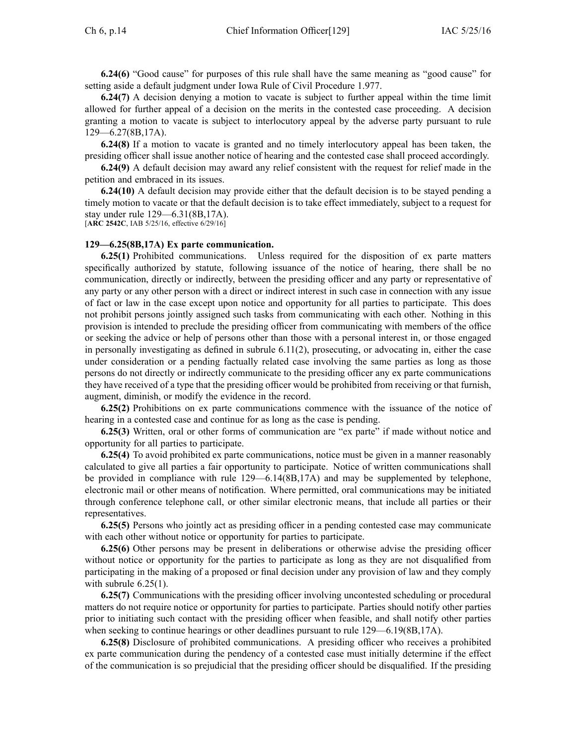**6.24(6)** "Good cause" for purposes of this rule shall have the same meaning as "good cause" for setting aside <sup>a</sup> default judgment under Iowa Rule of Civil Procedure [1.977](https://www.legis.iowa.gov/docs/ACO/CourtRulesChapter/1.pdf).

**6.24(7)** A decision denying <sup>a</sup> motion to vacate is subject to further appeal within the time limit allowed for further appeal of <sup>a</sup> decision on the merits in the contested case proceeding. A decision granting <sup>a</sup> motion to vacate is subject to interlocutory appeal by the adverse party pursuan<sup>t</sup> to rule 129—6.27(8B,17A).

**6.24(8)** If <sup>a</sup> motion to vacate is granted and no timely interlocutory appeal has been taken, the presiding officer shall issue another notice of hearing and the contested case shall proceed accordingly.

**6.24(9)** A default decision may award any relief consistent with the reques<sup>t</sup> for relief made in the petition and embraced in its issues.

**6.24(10)** A default decision may provide either that the default decision is to be stayed pending <sup>a</sup> timely motion to vacate or that the default decision is to take effect immediately, subject to <sup>a</sup> reques<sup>t</sup> for stay under rule 129—6.31(8B,17A).

[**ARC 2542C**, IAB 5/25/16, effective 6/29/16]

#### **129—6.25(8B,17A) Ex parte communication.**

**6.25(1)** Prohibited communications. Unless required for the disposition of ex parte matters specifically authorized by statute, following issuance of the notice of hearing, there shall be no communication, directly or indirectly, between the presiding officer and any party or representative of any party or any other person with <sup>a</sup> direct or indirect interest in such case in connection with any issue of fact or law in the case excep<sup>t</sup> upon notice and opportunity for all parties to participate. This does not prohibit persons jointly assigned such tasks from communicating with each other. Nothing in this provision is intended to preclude the presiding officer from communicating with members of the office or seeking the advice or help of persons other than those with <sup>a</sup> personal interest in, or those engaged in personally investigating as defined in subrule 6.11(2), prosecuting, or advocating in, either the case under consideration or <sup>a</sup> pending factually related case involving the same parties as long as those persons do not directly or indirectly communicate to the presiding officer any ex parte communications they have received of <sup>a</sup> type that the presiding officer would be prohibited from receiving or that furnish, augment, diminish, or modify the evidence in the record.

**6.25(2)** Prohibitions on ex parte communications commence with the issuance of the notice of hearing in <sup>a</sup> contested case and continue for as long as the case is pending.

**6.25(3)** Written, oral or other forms of communication are "ex parte" if made without notice and opportunity for all parties to participate.

**6.25(4)** To avoid prohibited ex parte communications, notice must be given in <sup>a</sup> manner reasonably calculated to give all parties <sup>a</sup> fair opportunity to participate. Notice of written communications shall be provided in compliance with rule 129—6.14(8B,17A) and may be supplemented by telephone, electronic mail or other means of notification. Where permitted, oral communications may be initiated through conference telephone call, or other similar electronic means, that include all parties or their representatives.

**6.25(5)** Persons who jointly act as presiding officer in <sup>a</sup> pending contested case may communicate with each other without notice or opportunity for parties to participate.

**6.25(6)** Other persons may be presen<sup>t</sup> in deliberations or otherwise advise the presiding officer without notice or opportunity for the parties to participate as long as they are not disqualified from participating in the making of <sup>a</sup> proposed or final decision under any provision of law and they comply with subrule  $6.25(1)$ .

**6.25(7)** Communications with the presiding officer involving uncontested scheduling or procedural matters do not require notice or opportunity for parties to participate. Parties should notify other parties prior to initiating such contact with the presiding officer when feasible, and shall notify other parties when seeking to continue hearings or other deadlines pursuant to rule  $129-6.19(8B,17A)$ .

**6.25(8)** Disclosure of prohibited communications. A presiding officer who receives <sup>a</sup> prohibited ex parte communication during the pendency of <sup>a</sup> contested case must initially determine if the effect of the communication is so prejudicial that the presiding officer should be disqualified. If the presiding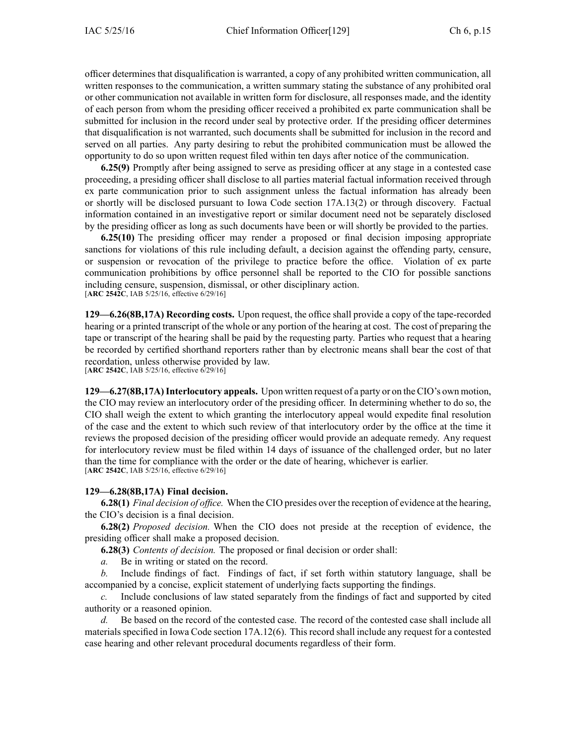officer determines that disqualification is warranted, <sup>a</sup> copy of any prohibited written communication, all written responses to the communication, <sup>a</sup> written summary stating the substance of any prohibited oral or other communication not available in written form for disclosure, all responses made, and the identity of each person from whom the presiding officer received <sup>a</sup> prohibited ex parte communication shall be submitted for inclusion in the record under seal by protective order. If the presiding officer determines that disqualification is not warranted, such documents shall be submitted for inclusion in the record and served on all parties. Any party desiring to rebut the prohibited communication must be allowed the opportunity to do so upon written reques<sup>t</sup> filed within ten days after notice of the communication.

**6.25(9)** Promptly after being assigned to serve as presiding officer at any stage in <sup>a</sup> contested case proceeding, <sup>a</sup> presiding officer shall disclose to all parties material factual information received through ex parte communication prior to such assignment unless the factual information has already been or shortly will be disclosed pursuan<sup>t</sup> to Iowa Code section [17A.13\(2\)](https://www.legis.iowa.gov/docs/ico/section/17A.13.pdf) or through discovery. Factual information contained in an investigative repor<sup>t</sup> or similar document need not be separately disclosed by the presiding officer as long as such documents have been or will shortly be provided to the parties.

**6.25(10)** The presiding officer may render <sup>a</sup> proposed or final decision imposing appropriate sanctions for violations of this rule including default, <sup>a</sup> decision against the offending party, censure, or suspension or revocation of the privilege to practice before the office. Violation of ex parte communication prohibitions by office personnel shall be reported to the CIO for possible sanctions including censure, suspension, dismissal, or other disciplinary action. [**ARC 2542C**, IAB 5/25/16, effective 6/29/16]

**129—6.26(8B,17A) Recording costs.** Upon request, the office shall provide <sup>a</sup> copy of the tape-recorded hearing or <sup>a</sup> printed transcript of the whole or any portion of the hearing at cost. The cost of preparing the tape or transcript of the hearing shall be paid by the requesting party. Parties who reques<sup>t</sup> that <sup>a</sup> hearing be recorded by certified shorthand reporters rather than by electronic means shall bear the cost of that recordation, unless otherwise provided by law. [**ARC 2542C**, IAB 5/25/16, effective 6/29/16]

**129—6.27(8B,17A)Interlocutory appeals.** Upon written reques<sup>t</sup> of <sup>a</sup> party or on the CIO's own motion, the CIO may review an interlocutory order of the presiding officer. In determining whether to do so, the CIO shall weigh the extent to which granting the interlocutory appeal would expedite final resolution of the case and the extent to which such review of that interlocutory order by the office at the time it reviews the proposed decision of the presiding officer would provide an adequate remedy. Any reques<sup>t</sup> for interlocutory review must be filed within 14 days of issuance of the challenged order, but no later than the time for compliance with the order or the date of hearing, whichever is earlier. [**ARC 2542C**, IAB 5/25/16, effective 6/29/16]

#### **129—6.28(8B,17A) Final decision.**

**6.28(1)** *Final decision of office.* When the CIO presides over the reception of evidence at the hearing, the CIO's decision is <sup>a</sup> final decision.

**6.28(2)** *Proposed decision.* When the CIO does not preside at the reception of evidence, the presiding officer shall make <sup>a</sup> proposed decision.

**6.28(3)** *Contents of decision.* The proposed or final decision or order shall:

*a.* Be in writing or stated on the record.

*b.* Include findings of fact. Findings of fact, if set forth within statutory language, shall be accompanied by <sup>a</sup> concise, explicit statement of underlying facts supporting the findings.

*c.* Include conclusions of law stated separately from the findings of fact and supported by cited authority or <sup>a</sup> reasoned opinion.

*d.* Be based on the record of the contested case. The record of the contested case shall include all materials specified in Iowa Code section 17A.12(6). This record shall include any reques<sup>t</sup> for <sup>a</sup> contested case hearing and other relevant procedural documents regardless of their form.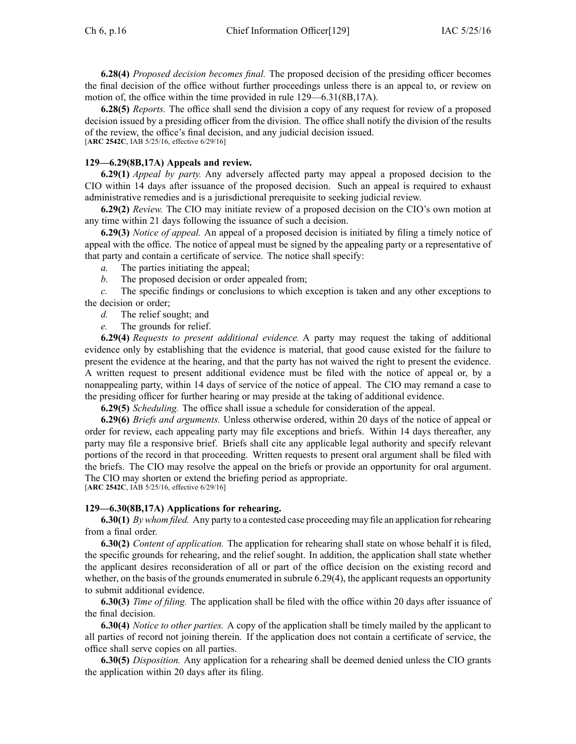**6.28(4)** *Proposed decision becomes final.* The proposed decision of the presiding officer becomes the final decision of the office without further proceedings unless there is an appeal to, or review on motion of, the office within the time provided in rule 129—6.31(8B,17A).

**6.28(5)** *Reports.* The office shall send the division <sup>a</sup> copy of any reques<sup>t</sup> for review of <sup>a</sup> proposed decision issued by <sup>a</sup> presiding officer from the division. The office shall notify the division of the results of the review, the office's final decision, and any judicial decision issued. [**ARC 2542C**, IAB 5/25/16, effective 6/29/16]

## **129—6.29(8B,17A) Appeals and review.**

**6.29(1)** *Appeal by party.* Any adversely affected party may appeal <sup>a</sup> proposed decision to the CIO within 14 days after issuance of the proposed decision. Such an appeal is required to exhaust administrative remedies and is <sup>a</sup> jurisdictional prerequisite to seeking judicial review.

**6.29(2)** *Review.* The CIO may initiate review of <sup>a</sup> proposed decision on the CIO's own motion at any time within 21 days following the issuance of such <sup>a</sup> decision.

**6.29(3)** *Notice of appeal.* An appeal of <sup>a</sup> proposed decision is initiated by filing <sup>a</sup> timely notice of appeal with the office. The notice of appeal must be signed by the appealing party or <sup>a</sup> representative of that party and contain <sup>a</sup> certificate of service. The notice shall specify:

*a.* The parties initiating the appeal;

*b.* The proposed decision or order appealed from;

*c.* The specific findings or conclusions to which exception is taken and any other exceptions to the decision or order;

*d.* The relief sought; and

*e.* The grounds for relief.

**6.29(4)** *Requests to presen<sup>t</sup> additional evidence.* A party may reques<sup>t</sup> the taking of additional evidence only by establishing that the evidence is material, that good cause existed for the failure to presen<sup>t</sup> the evidence at the hearing, and that the party has not waived the right to presen<sup>t</sup> the evidence. A written reques<sup>t</sup> to presen<sup>t</sup> additional evidence must be filed with the notice of appeal or, by <sup>a</sup> nonappealing party, within 14 days of service of the notice of appeal. The CIO may remand <sup>a</sup> case to the presiding officer for further hearing or may preside at the taking of additional evidence.

**6.29(5)** *Scheduling.* The office shall issue <sup>a</sup> schedule for consideration of the appeal.

**6.29(6)** *Briefs and arguments.* Unless otherwise ordered, within 20 days of the notice of appeal or order for review, each appealing party may file exceptions and briefs. Within 14 days thereafter, any party may file <sup>a</sup> responsive brief. Briefs shall cite any applicable legal authority and specify relevant portions of the record in that proceeding. Written requests to presen<sup>t</sup> oral argumen<sup>t</sup> shall be filed with the briefs. The CIO may resolve the appeal on the briefs or provide an opportunity for oral argument. The CIO may shorten or extend the briefing period as appropriate. [**ARC 2542C**, IAB 5/25/16, effective 6/29/16]

## **129—6.30(8B,17A) Applications for rehearing.**

**6.30(1)** *By whom filed.* Any party to <sup>a</sup> contested case proceeding may file an application for rehearing from <sup>a</sup> final order.

**6.30(2)** *Content of application.* The application for rehearing shall state on whose behalf it is filed, the specific grounds for rehearing, and the relief sought. In addition, the application shall state whether the applicant desires reconsideration of all or par<sup>t</sup> of the office decision on the existing record and whether, on the basis of the grounds enumerated in subrule 6.29(4), the applicant requests an opportunity to submit additional evidence.

**6.30(3)** *Time of filing.* The application shall be filed with the office within 20 days after issuance of the final decision.

**6.30(4)** *Notice to other parties.* A copy of the application shall be timely mailed by the applicant to all parties of record not joining therein. If the application does not contain <sup>a</sup> certificate of service, the office shall serve copies on all parties.

**6.30(5)** *Disposition.* Any application for <sup>a</sup> rehearing shall be deemed denied unless the CIO grants the application within 20 days after its filing.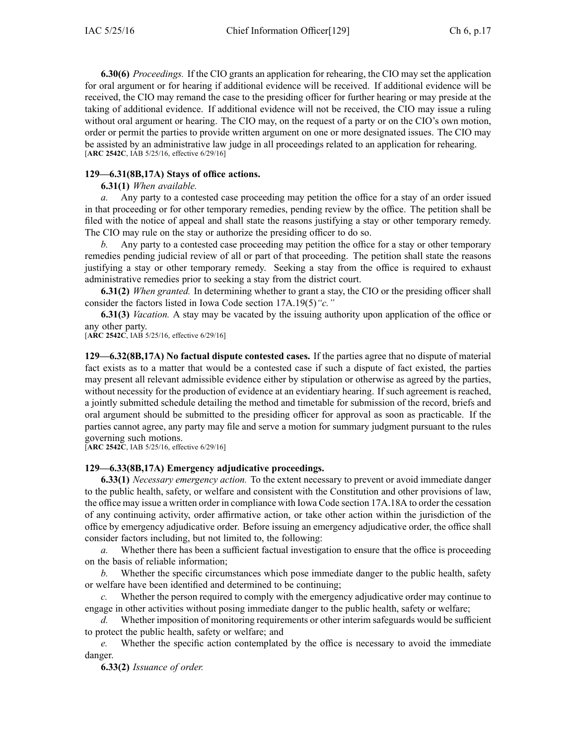**6.30(6)** *Proceedings.* If the CIO grants an application for rehearing, the CIO may set the application for oral argumen<sup>t</sup> or for hearing if additional evidence will be received. If additional evidence will be received, the CIO may remand the case to the presiding officer for further hearing or may preside at the taking of additional evidence. If additional evidence will not be received, the CIO may issue <sup>a</sup> ruling without oral argumen<sup>t</sup> or hearing. The CIO may, on the reques<sup>t</sup> of <sup>a</sup> party or on the CIO's own motion, order or permit the parties to provide written argumen<sup>t</sup> on one or more designated issues. The CIO may be assisted by an administrative law judge in all proceedings related to an application for rehearing. [**ARC 2542C**, IAB 5/25/16, effective 6/29/16]

# **129—6.31(8B,17A) Stays of office actions.**

# **6.31(1)** *When available.*

*a.* Any party to <sup>a</sup> contested case proceeding may petition the office for <sup>a</sup> stay of an order issued in that proceeding or for other temporary remedies, pending review by the office. The petition shall be filed with the notice of appeal and shall state the reasons justifying <sup>a</sup> stay or other temporary remedy. The CIO may rule on the stay or authorize the presiding officer to do so.

*b.* Any party to <sup>a</sup> contested case proceeding may petition the office for <sup>a</sup> stay or other temporary remedies pending judicial review of all or par<sup>t</sup> of that proceeding. The petition shall state the reasons justifying <sup>a</sup> stay or other temporary remedy. Seeking <sup>a</sup> stay from the office is required to exhaust administrative remedies prior to seeking <sup>a</sup> stay from the district court.

**6.31(2)** *When granted.* In determining whether to gran<sup>t</sup> <sup>a</sup> stay, the CIO or the presiding officer shall consider the factors listed in Iowa Code section [17A.19\(5\)](https://www.legis.iowa.gov/docs/ico/section/17A.19.pdf)*"c."*

**6.31(3)** *Vacation.* A stay may be vacated by the issuing authority upon application of the office or any other party.

[**ARC 2542C**, IAB 5/25/16, effective 6/29/16]

**129—6.32(8B,17A) No factual dispute contested cases.** If the parties agree that no dispute of material fact exists as to <sup>a</sup> matter that would be <sup>a</sup> contested case if such <sup>a</sup> dispute of fact existed, the parties may presen<sup>t</sup> all relevant admissible evidence either by stipulation or otherwise as agreed by the parties, without necessity for the production of evidence at an evidentiary hearing. If such agreemen<sup>t</sup> is reached, <sup>a</sup> jointly submitted schedule detailing the method and timetable for submission of the record, briefs and oral argumen<sup>t</sup> should be submitted to the presiding officer for approval as soon as practicable. If the parties cannot agree, any party may file and serve <sup>a</sup> motion for summary judgment pursuan<sup>t</sup> to the rules governing such motions.

[**ARC 2542C**, IAB 5/25/16, effective 6/29/16]

# **129—6.33(8B,17A) Emergency adjudicative proceedings.**

**6.33(1)** *Necessary emergency action.* To the extent necessary to preven<sup>t</sup> or avoid immediate danger to the public health, safety, or welfare and consistent with the Constitution and other provisions of law, the office may issue <sup>a</sup> written order in compliance with Iowa Code section [17A.18A](https://www.legis.iowa.gov/docs/ico/section/17A.18A.pdf) to order the cessation of any continuing activity, order affirmative action, or take other action within the jurisdiction of the office by emergency adjudicative order. Before issuing an emergency adjudicative order, the office shall consider factors including, but not limited to, the following:

*a.* Whether there has been <sup>a</sup> sufficient factual investigation to ensure that the office is proceeding on the basis of reliable information;

*b.* Whether the specific circumstances which pose immediate danger to the public health, safety or welfare have been identified and determined to be continuing;

*c.* Whether the person required to comply with the emergency adjudicative order may continue to engage in other activities without posing immediate danger to the public health, safety or welfare;

*d.* Whether imposition of monitoring requirements or other interim safeguards would be sufficient to protect the public health, safety or welfare; and

*e.* Whether the specific action contemplated by the office is necessary to avoid the immediate danger.

**6.33(2)** *Issuance of order.*